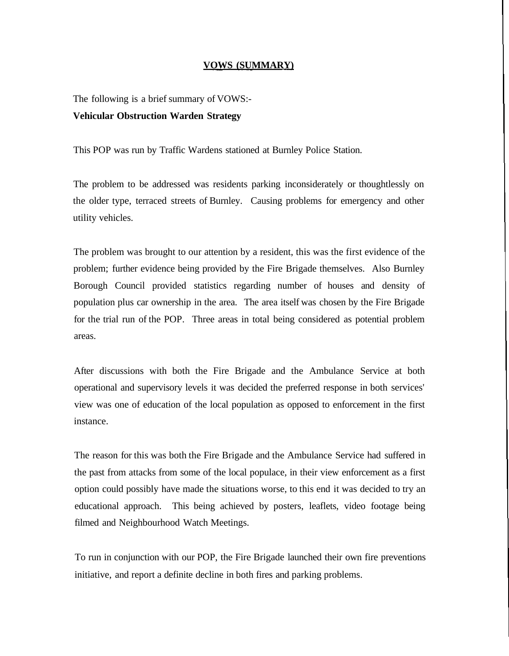## **VOWS (SUMMARY)**

The following is a brief summary of VOWS:- **Vehicular Obstruction Warden Strategy**

This POP was run by Traffic Wardens stationed at Burnley Police Station.

The problem to be addressed was residents parking inconsiderately or thoughtlessly on the older type, terraced streets of Burnley. Causing problems for emergency and other utility vehicles.

The problem was brought to our attention by a resident, this was the first evidence of the problem; further evidence being provided by the Fire Brigade themselves. Also Burnley Borough Council provided statistics regarding number of houses and density of population plus car ownership in the area. The area itself was chosen by the Fire Brigade for the trial run of the POP. Three areas in total being considered as potential problem areas.

After discussions with both the Fire Brigade and the Ambulance Service at both operational and supervisory levels it was decided the preferred response in both services' view was one of education of the local population as opposed to enforcement in the first instance.

The reason for this was both the Fire Brigade and the Ambulance Service had suffered in the past from attacks from some of the local populace, in their view enforcement as a first option could possibly have made the situations worse, to this end it was decided to try an educational approach. This being achieved by posters, leaflets, video footage being filmed and Neighbourhood Watch Meetings.

To run in conjunction with our POP, the Fire Brigade launched their own fire preventions initiative, and report a definite decline in both fires and parking problems.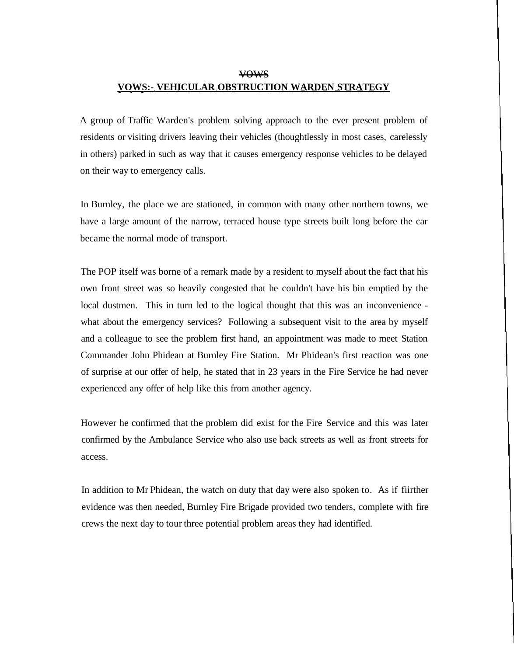## vows

## **VOWS:- VEHICULAR OBSTRUCTION WARDEN STRATEGY**

A group of Traffic Warden's problem solving approach to the ever present problem of residents or visiting drivers leaving their vehicles (thoughtlessly in most cases, carelessly in others) parked in such as way that it causes emergency response vehicles to be delayed on their way to emergency calls.

In Burnley, the place we are stationed, in common with many other northern towns, we have a large amount of the narrow, terraced house type streets built long before the car became the normal mode of transport.

The POP itself was borne of a remark made by a resident to myself about the fact that his own front street was so heavily congested that he couldn't have his bin emptied by the local dustmen. This in turn led to the logical thought that this was an inconvenience what about the emergency services? Following a subsequent visit to the area by myself and a colleague to see the problem first hand, an appointment was made to meet Station Commander John Phidean at Burnley Fire Station. Mr Phidean's first reaction was one of surprise at our offer of help, he stated that in 23 years in the Fire Service he had never experienced any offer of help like this from another agency.

However he confirmed that the problem did exist for the Fire Service and this was later confirmed by the Ambulance Service who also use back streets as well as front streets for access.

In addition to Mr Phidean, the watch on duty that day were also spoken to. As if fiirther evidence was then needed, Burnley Fire Brigade provided two tenders, complete with fire crews the next day to tour three potential problem areas they had identified.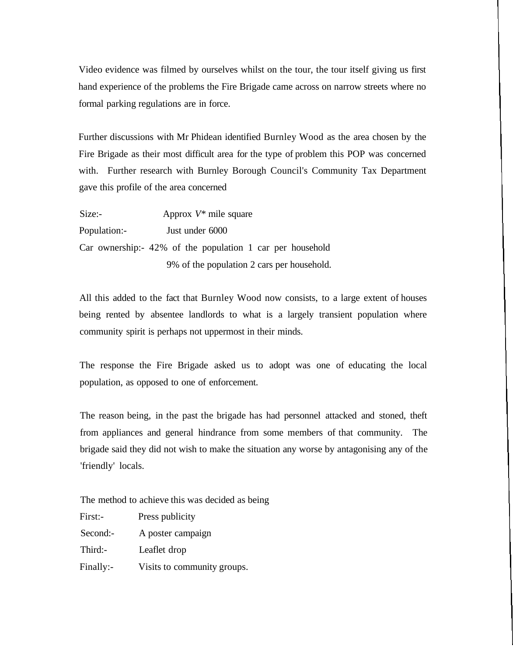Video evidence was filmed by ourselves whilst on the tour, the tour itself giving us first hand experience of the problems the Fire Brigade came across on narrow streets where no formal parking regulations are in force.

Further discussions with Mr Phidean identified Burnley Wood as the area chosen by the Fire Brigade as their most difficult area for the type of problem this POP was concerned with. Further research with Burnley Borough Council's Community Tax Department gave this profile of the area concerned

| Size:        | Approx $V^*$ mile square                                     |  |
|--------------|--------------------------------------------------------------|--|
| Population:- | Just under 6000                                              |  |
|              | Car ownership: $-42\%$ of the population 1 car per household |  |
|              | 9% of the population 2 cars per household.                   |  |

All this added to the fact that Burnley Wood now consists, to a large extent of houses being rented by absentee landlords to what is a largely transient population where community spirit is perhaps not uppermost in their minds.

The response the Fire Brigade asked us to adopt was one of educating the local population, as opposed to one of enforcement.

The reason being, in the past the brigade has had personnel attacked and stoned, theft from appliances and general hindrance from some members of that community. The brigade said they did not wish to make the situation any worse by antagonising any of the 'friendly' locals.

The method to achieve this was decided as being

| First:-   | Press publicity             |
|-----------|-----------------------------|
| Second:-  | A poster campaign           |
| Third:-   | Leaflet drop                |
| Finally:- | Visits to community groups. |